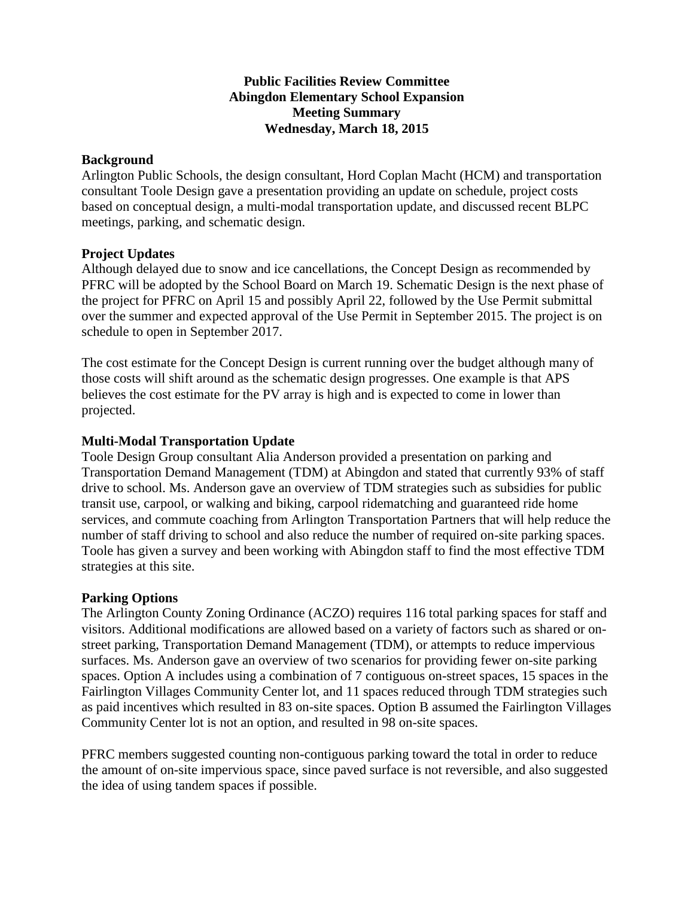# **Public Facilities Review Committee Abingdon Elementary School Expansion Meeting Summary Wednesday, March 18, 2015**

## **Background**

Arlington Public Schools, the design consultant, Hord Coplan Macht (HCM) and transportation consultant Toole Design gave a presentation providing an update on schedule, project costs based on conceptual design, a multi-modal transportation update, and discussed recent BLPC meetings, parking, and schematic design.

#### **Project Updates**

Although delayed due to snow and ice cancellations, the Concept Design as recommended by PFRC will be adopted by the School Board on March 19. Schematic Design is the next phase of the project for PFRC on April 15 and possibly April 22, followed by the Use Permit submittal over the summer and expected approval of the Use Permit in September 2015. The project is on schedule to open in September 2017.

The cost estimate for the Concept Design is current running over the budget although many of those costs will shift around as the schematic design progresses. One example is that APS believes the cost estimate for the PV array is high and is expected to come in lower than projected.

#### **Multi-Modal Transportation Update**

Toole Design Group consultant Alia Anderson provided a presentation on parking and Transportation Demand Management (TDM) at Abingdon and stated that currently 93% of staff drive to school. Ms. Anderson gave an overview of TDM strategies such as subsidies for public transit use, carpool, or walking and biking, carpool ridematching and guaranteed ride home services, and commute coaching from Arlington Transportation Partners that will help reduce the number of staff driving to school and also reduce the number of required on-site parking spaces. Toole has given a survey and been working with Abingdon staff to find the most effective TDM strategies at this site.

## **Parking Options**

The Arlington County Zoning Ordinance (ACZO) requires 116 total parking spaces for staff and visitors. Additional modifications are allowed based on a variety of factors such as shared or onstreet parking, Transportation Demand Management (TDM), or attempts to reduce impervious surfaces. Ms. Anderson gave an overview of two scenarios for providing fewer on-site parking spaces. Option A includes using a combination of 7 contiguous on-street spaces, 15 spaces in the Fairlington Villages Community Center lot, and 11 spaces reduced through TDM strategies such as paid incentives which resulted in 83 on-site spaces. Option B assumed the Fairlington Villages Community Center lot is not an option, and resulted in 98 on-site spaces.

PFRC members suggested counting non-contiguous parking toward the total in order to reduce the amount of on-site impervious space, since paved surface is not reversible, and also suggested the idea of using tandem spaces if possible.